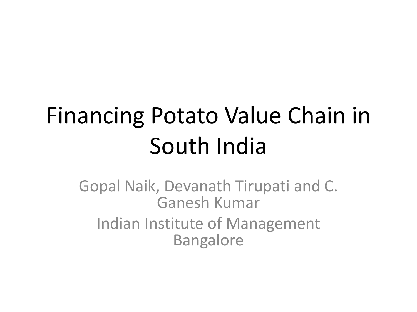# Financing Potato Value Chain in South India

Gopal Naik, Devanath Tirupati and C. Ganesh Kumar Indian Institute of Management Bangalore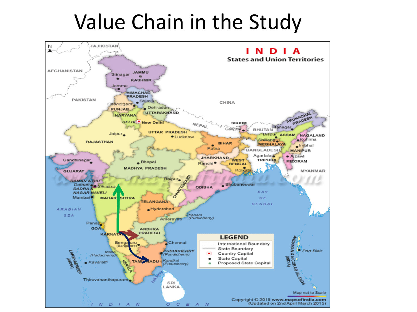### Value Chain in the Study

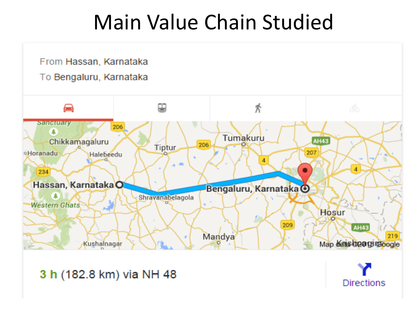### Main Value Chain Studied



**Directions** 

#### 3 h (182.8 km) via NH 48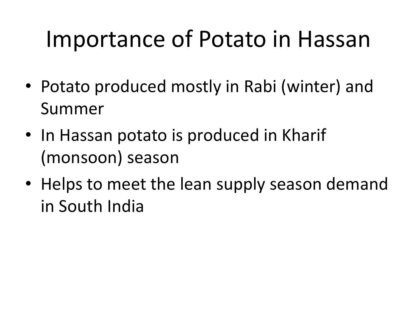## Importance of Potato in Hassan

- Potato produced mostly in Rabi (winter) and Summer
- In Hassan potato is produced in Kharif (monsoon) season
- Helps to meet the lean supply season demand in South India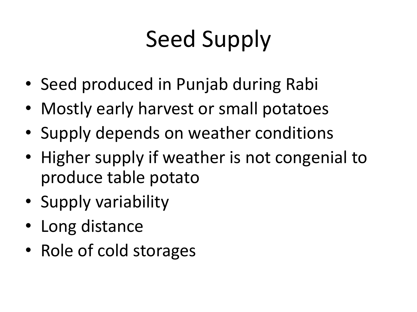# Seed Supply

- Seed produced in Punjab during Rabi
- Mostly early harvest or small potatoes
- Supply depends on weather conditions
- Higher supply if weather is not congenial to produce table potato
- Supply variability
- Long distance
- Role of cold storages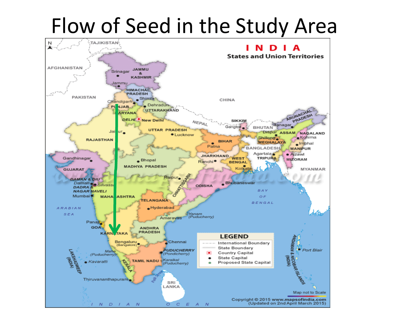### [Flow of Seed in the Study Area](http://www.google.co.in/url?sa=i&rct=j&q=&esrc=s&source=images&cd=&cad=rja&uact=8&ved=0CAcQjRw&url=http://www.mapsofindia.com/&ei=ObVbVb-XCY6suQTptIDoBQ&bvm=bv.93756505,d.c2E&psig=AFQjCNHggIZvXxaOwGKJqjyErqFVkpX6xw&ust=1432159911837133)

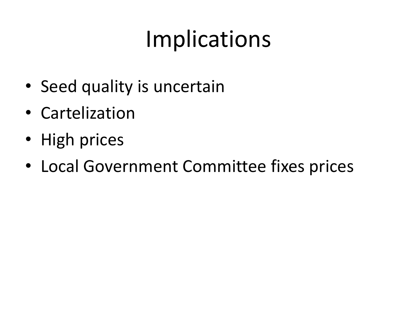# Implications

- Seed quality is uncertain
- Cartelization
- High prices
- Local Government Committee fixes prices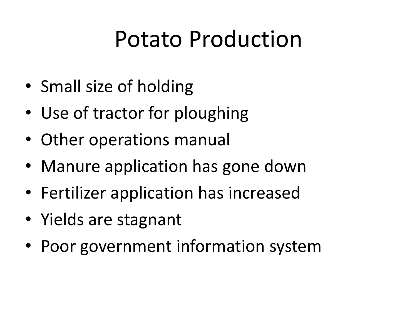## Potato Production

- Small size of holding
- Use of tractor for ploughing
- Other operations manual
- Manure application has gone down
- Fertilizer application has increased
- Yields are stagnant
- Poor government information system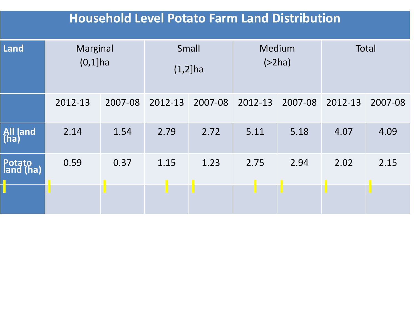#### **Household Level Potato Farm Land Distribution**

| Land                | Marginal<br>$(0,1]$ ha |         | Small<br>$(1,2)$ ha |         | Medium<br>$($ >2ha) |         | <b>Total</b> |         |
|---------------------|------------------------|---------|---------------------|---------|---------------------|---------|--------------|---------|
|                     | 2012-13                | 2007-08 | 2012-13             | 2007-08 | 2012-13             | 2007-08 | 2012-13      | 2007-08 |
| All land<br>(ha)    | 2.14                   | 1.54    | 2.79                | 2.72    | 5.11                | 5.18    | 4.07         | 4.09    |
| Potato<br>land (ha) | 0.59                   | 0.37    | 1.15                | 1.23    | 2.75                | 2.94    | 2.02         | 2.15    |
|                     |                        |         | П                   |         |                     |         |              |         |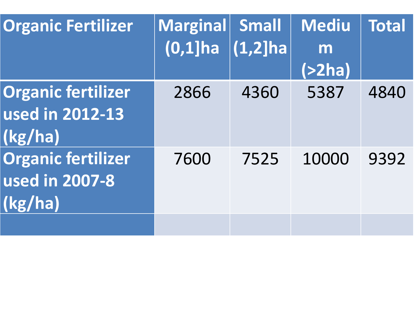| <b>Organic Fertilizer</b>                               | Marginal Small<br>$(0,1]$ ha | $(1,2]$ ha | <b>Mediu</b><br>m<br>$($ >2ha) | <b>Total</b> |
|---------------------------------------------------------|------------------------------|------------|--------------------------------|--------------|
| <b>Organic fertilizer</b><br>used in 2012-13<br>(kg/ha) | 2866                         | 4360       | 5387                           | 4840         |
| <b>Organic fertilizer</b><br>used in 2007-8<br>(kg/ha)  | 7600                         | 7525       | 10000                          | 9392         |
|                                                         |                              |            |                                |              |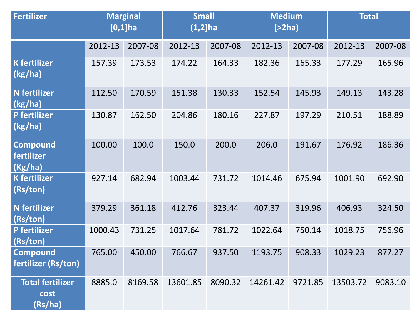| Fertilizer                                 | <b>Marginal</b><br>$(0,1]$ ha |         | <b>Small</b><br>$(1,2]$ ha |         | <b>Medium</b><br>$($ >2ha $)$ |         | <b>Total</b> |         |
|--------------------------------------------|-------------------------------|---------|----------------------------|---------|-------------------------------|---------|--------------|---------|
|                                            | 2012-13                       | 2007-08 | 2012-13                    | 2007-08 | 2012-13                       | 2007-08 | 2012-13      | 2007-08 |
| <b>K</b> fertilizer<br>(kg/ha)             | 157.39                        | 173.53  | 174.22                     | 164.33  | 182.36                        | 165.33  | 177.29       | 165.96  |
| <b>N</b> fertilizer<br>(kg/ha)             | 112.50                        | 170.59  | 151.38                     | 130.33  | 152.54                        | 145.93  | 149.13       | 143.28  |
| P fertilizer<br>(kg/ha)                    | 130.87                        | 162.50  | 204.86                     | 180.16  | 227.87                        | 197.29  | 210.51       | 188.89  |
| <b>Compound</b><br>fertilizer<br>(Kg/ha)   | 100.00                        | 100.0   | 150.0                      | 200.0   | 206.0                         | 191.67  | 176.92       | 186.36  |
| <b>K</b> fertilizer<br>(Rs/ton)            | 927.14                        | 682.94  | 1003.44                    | 731.72  | 1014.46                       | 675.94  | 1001.90      | 692.90  |
| <b>N</b> fertilizer<br>(Rs/ton)            | 379.29                        | 361.18  | 412.76                     | 323.44  | 407.37                        | 319.96  | 406.93       | 324.50  |
| P fertilizer<br>(Rs/ton)                   | 1000.43                       | 731.25  | 1017.64                    | 781.72  | 1022.64                       | 750.14  | 1018.75      | 756.96  |
| <b>Compound</b><br>fertilizer (Rs/ton)     | 765.00                        | 450.00  | 766.67                     | 937.50  | 1193.75                       | 908.33  | 1029.23      | 877.27  |
| <b>Total fertilizer</b><br>cost<br>(Rs/ha) | 8885.0                        | 8169.58 | 13601.85                   | 8090.32 | 14261.42                      | 9721.85 | 13503.72     | 9083.10 |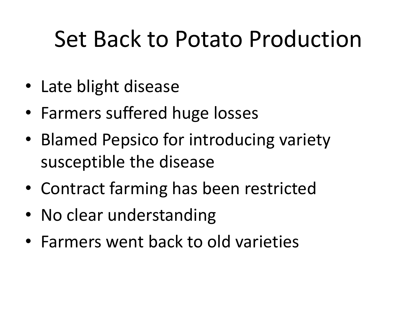## Set Back to Potato Production

- Late blight disease
- Farmers suffered huge losses
- Blamed Pepsico for introducing variety susceptible the disease
- Contract farming has been restricted
- No clear understanding
- Farmers went back to old varieties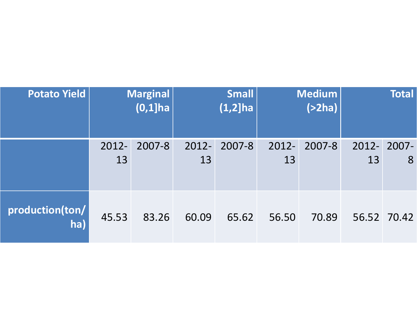| <b>Potato Yield</b>    | <b>Marginal</b><br>$(0,1]$ ha |        | $S$ mall<br>$(1,2)$ ha |        | <b>Medium</b><br>$($ >2ha) |        | <b>Total</b>      |             |
|------------------------|-------------------------------|--------|------------------------|--------|----------------------------|--------|-------------------|-------------|
|                        | $2012 -$<br>13                | 2007-8 | $2012 -$<br>13         | 2007-8 | $2012 -$<br>13             | 2007-8 | 2012- 2007-<br>13 | 8           |
| production(ton/<br>ha) | 45.53                         | 83.26  | 60.09                  | 65.62  | 56.50                      | 70.89  |                   | 56.52 70.42 |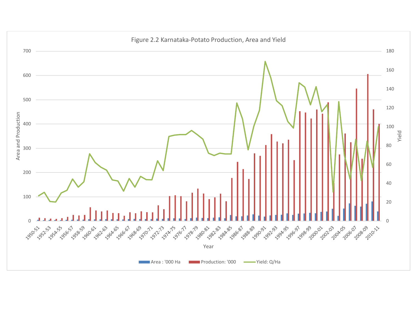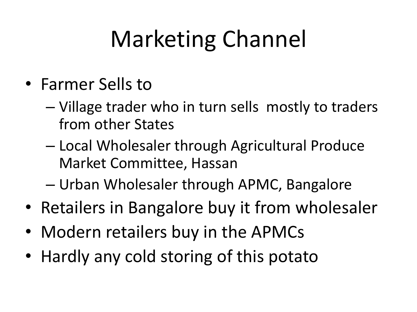# Marketing Channel

- Farmer Sells to
	- Village trader who in turn sells mostly to traders from other States
	- Local Wholesaler through Agricultural Produce Market Committee, Hassan
	- Urban Wholesaler through APMC, Bangalore
- Retailers in Bangalore buy it from wholesaler
- Modern retailers buy in the APMCs
- Hardly any cold storing of this potato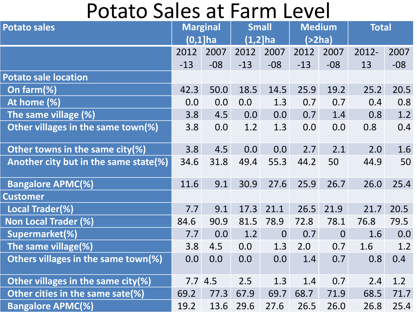### Potato Sales at Farm Level

| <b>Potato sales</b>                   | <b>Marginal</b><br>$(0,1]$ ha |              | <b>Small</b><br>$(1,2)$ ha |                | <b>Medium</b><br>$($ >2ha) |                | <b>Total</b> |       |
|---------------------------------------|-------------------------------|--------------|----------------------------|----------------|----------------------------|----------------|--------------|-------|
|                                       | 2012                          | 2007         | 2012                       | 2007           | 2012                       | 2007           | $2012 -$     | 2007  |
|                                       | $-13$                         | $-08$        | $-13$                      | $-08$          | $-13$                      | $-08$          | 13           | $-08$ |
| <b>Potato sale location</b>           |                               |              |                            |                |                            |                |              |       |
| On farm $(\%)$                        | 42.3                          | 50.0         | 18.5                       | 14.5           | 25.9                       | 19.2           | 25.2         | 20.5  |
| At home (%)                           | 0.0                           | 0.0          | 0.0                        | 1.3            | 0.7                        | 0.7            | 0.4          | 0.8   |
| The same village (%)                  | 3.8                           | 4.5          | 0.0                        | 0.0            | 0.7                        | 1.4            | 0.8          | 1.2   |
| Other villages in the same town(%)    | 3.8                           | 0.0          | 1.2                        | 1.3            | 0.0                        | 0.0            | 0.8          | 0.4   |
| Other towns in the same city(%)       | 3.8                           | 4.5          | 0.0                        | 0.0            | 2.7                        | 2.1            | 2.0          | 1.6   |
| Another city but in the same state(%) | 34.6                          | 31.8         | 49.4                       | 55.3           | 44.2                       | 50             | 44.9         | 50    |
|                                       |                               |              |                            |                |                            |                |              |       |
| <b>Bangalore APMC(%)</b>              | 11.6                          | 9.1          | 30.9                       | 27.6           | 25.9                       | 26.7           | 26.0         | 25.4  |
| <b>Customer</b>                       |                               |              |                            |                |                            |                |              |       |
| Local Trader(%)                       | 7.7                           | 9.1          | 17.3                       | 21.1           | 26.5                       | 21.9           | 21.7         | 20.5  |
| <b>Non Local Trader (%)</b>           | 84.6                          | 90.9         | 81.5                       | 78.9           | 72.8                       | 78.1           | 76.8         | 79.5  |
| Supermarket(%)                        | 7.7                           | 0.0          | 1.2                        | $\overline{0}$ | 0.7                        | $\overline{0}$ | 1.6          | 0.0   |
| The same village(%)                   | 3.8                           | 4.5          | 0.0                        | 1.3            | 2.0                        | 0.7            | 1.6          | 1.2   |
| Others villages in the same town(%)   | 0.0                           | 0.0          | 0.0                        | 0.0            | 1.4                        | 0.7            | 0.8          | 0.4   |
|                                       |                               |              |                            |                |                            |                |              |       |
| Other villages in the same city(%)    |                               | $7.7 \, 4.5$ | 2.5                        | 1.3            | 1.4                        | 0.7            | 2.4          | 1.2   |
| Other cities in the same sate(%)      | 69.2                          | 77.3         | 67.9                       | 69.7           | 68.7                       | 71.9           | 68.5         | 71.7  |
| <b>Bangalore APMC(%)</b>              | 19.2                          | 13.6         | 29.6                       | 27.6           | 26.5                       | 26.0           | 26.8         | 25.4  |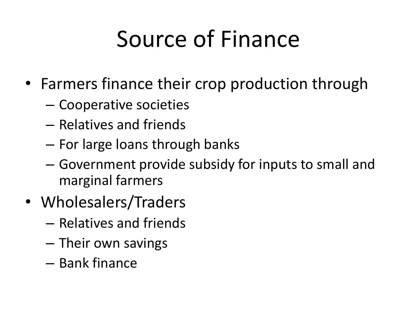# Source of Finance

- Farmers finance their crop production through
	- Cooperative societies
	- Relatives and friends
	- For large loans through banks
	- Government provide subsidy for inputs to small and marginal farmers
- Wholesalers/Traders
	- Relatives and friends
	- Their own savings
	- Bank finance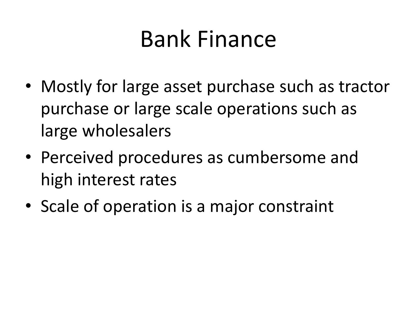## Bank Finance

- Mostly for large asset purchase such as tractor purchase or large scale operations such as large wholesalers
- Perceived procedures as cumbersome and high interest rates
- Scale of operation is a major constraint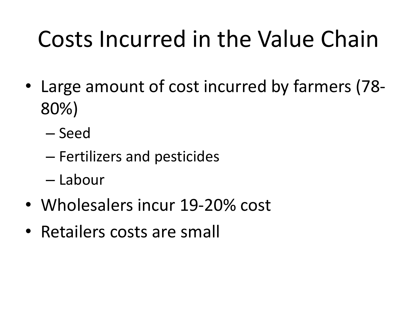# Costs Incurred in the Value Chain

- Large amount of cost incurred by farmers (78- 80%)
	- Seed
	- Fertilizers and pesticides
	- Labour
- Wholesalers incur 19-20% cost
- Retailers costs are small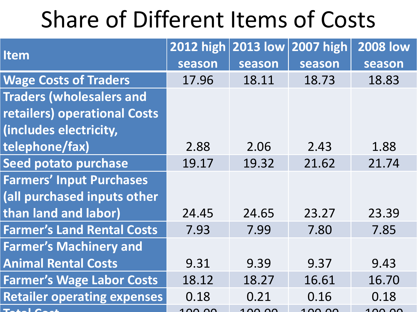## Share of Different Items of Costs

|                                    | <b>2012 high</b> | $\vert$ 2013 low $\vert$ | 2007 high | <b>2008 low</b> |
|------------------------------------|------------------|--------------------------|-----------|-----------------|
| <b>Item</b>                        | season           | season                   | season    | season          |
| <b>Wage Costs of Traders</b>       | 17.96            | 18.11                    | 18.73     | 18.83           |
| <b>Traders (wholesalers and</b>    |                  |                          |           |                 |
| retailers) operational Costs       |                  |                          |           |                 |
| (includes electricity,             |                  |                          |           |                 |
| telephone/fax)                     | 2.88             | 2.06                     | 2.43      | 1.88            |
| <b>Seed potato purchase</b>        | 19.17            | 19.32                    | 21.62     | 21.74           |
| <b>Farmers' Input Purchases</b>    |                  |                          |           |                 |
| (all purchased inputs other        |                  |                          |           |                 |
| than land and labor)               | 24.45            | 24.65                    | 23.27     | 23.39           |
| <b>Farmer's Land Rental Costs</b>  | 7.93             | 7.99                     | 7.80      | 7.85            |
| <b>Farmer's Machinery and</b>      |                  |                          |           |                 |
| <b>Animal Rental Costs</b>         | 9.31             | 9.39                     | 9.37      | 9.43            |
| <b>Farmer's Wage Labor Costs</b>   | 18.12            | 18.27                    | 16.61     | 16.70           |
| <b>Retailer operating expenses</b> | 0.18             | 0.21                     | 0.16      | 0.18            |
| Tatal Cast                         | 100.00           | 100.00                   | 1 NN NN   | <u>100.00</u>   |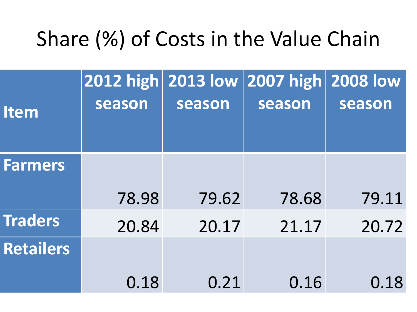## Share (%) of Costs in the Value Chain

|                  |        |        | 2012 high 2013 low 2007 high 2008 low |        |
|------------------|--------|--------|---------------------------------------|--------|
| <b>Item</b>      | season | season | season                                | season |
|                  |        |        |                                       |        |
| <b>Farmers</b>   |        |        |                                       |        |
|                  | 78.98  | 79.62  | 78.68                                 | 79.11  |
| <b>Traders</b>   | 20.84  | 20.17  | 21.17                                 | 20.72  |
| <b>Retailers</b> |        |        |                                       |        |
|                  | 0.18   | 0.21   | 0.16                                  | 0.18   |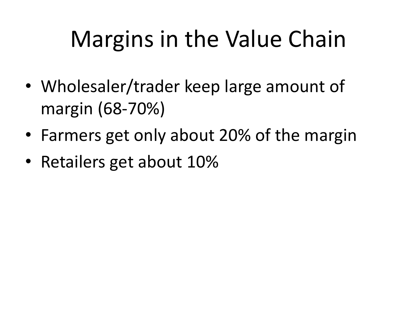# Margins in the Value Chain

- Wholesaler/trader keep large amount of margin (68-70%)
- Farmers get only about 20% of the margin
- Retailers get about 10%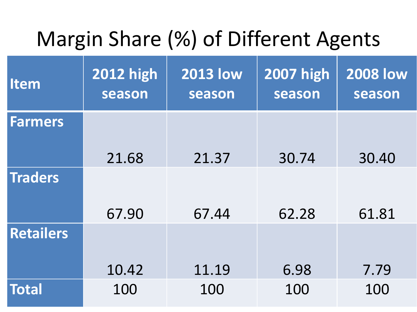## Margin Share (%) of Different Agents

| <b>Item</b>      | <b>2012 high</b><br>season | <b>2013 low</b><br>season | <b>2007 high</b><br>season | <b>2008 low</b><br>season |
|------------------|----------------------------|---------------------------|----------------------------|---------------------------|
| <b>Farmers</b>   |                            |                           |                            |                           |
|                  | 21.68                      | 21.37                     | 30.74                      | 30.40                     |
| <b>Traders</b>   |                            |                           |                            |                           |
|                  | 67.90                      | 67.44                     | 62.28                      | 61.81                     |
| <b>Retailers</b> |                            |                           |                            |                           |
|                  | 10.42                      | 11.19                     | 6.98                       | 7.79                      |
| <b>Total</b>     | 100                        | 100                       | 100                        | 100                       |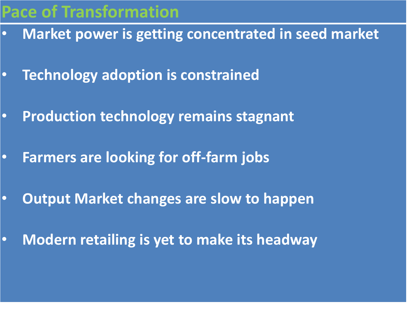#### **Pace of Transformation**

- **Market power is getting concentrated in seed market**
- **Technology adoption is constrained**
- **Production technology remains stagnant**
- **Farmers are looking for off-farm jobs**
- **Output Market changes are slow to happen**
- **Modern retailing is yet to make its headway**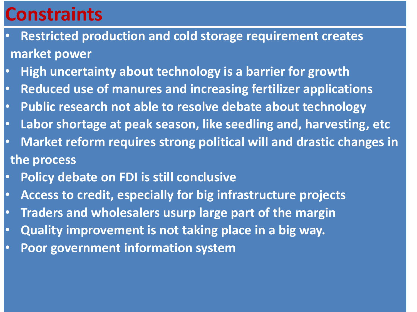### **Constraints**

- **Restricted production and cold storage requirement creates market power**
- **High uncertainty about technology is a barrier for growth**
- **Reduced use of manures and increasing fertilizer applications**
- **Public research not able to resolve debate about technology**
- **Labor shortage at peak season, like seedling and, harvesting, etc**
- **Market reform requires strong political will and drastic changes in the process**
- **Policy debate on FDI is still conclusive**
- **Access to credit, especially for big infrastructure projects**
- **Traders and wholesalers usurp large part of the margin**
- **Quality improvement is not taking place in a big way.**
- **Poor government information system**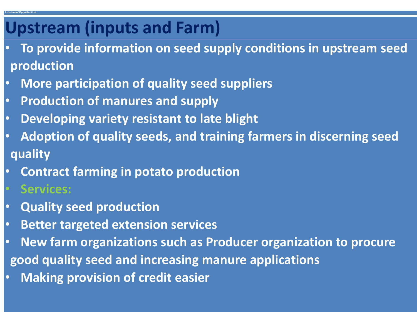### **Upstream (inputs and Farm)**

- **To provide information on seed supply conditions in upstream seed production**
- **More participation of quality seed suppliers**
- **Production of manures and supply**
- **Developing variety resistant to late blight**
- **Adoption of quality seeds, and training farmers in discerning seed quality**
- **Contract farming in potato production**
- **Services:**

**Investment Opportunities**

- **Quality seed production**
- **Better targeted extension services**
- **New farm organizations such as Producer organization to procure good quality seed and increasing manure applications**
- **Making provision of credit easier**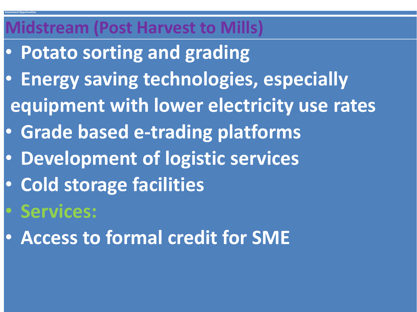### **Midstream (Post Harvest to Mills)**

- **Potato sorting and grading**
- **Energy saving technologies, especially equipment with lower electricity use rates**
- **Grade based e-trading platforms**
- **Development of logistic services**
- **Cold storage facilities**
- **Services:**

**Investment Opportunities**

• **Access to formal credit for SME**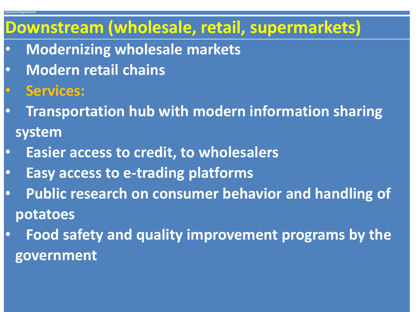### **Downstream (wholesale, retail, supermarkets)**

- **Modernizing wholesale markets**
- **Modern retail chains**
- **Services:**

**Investment Opportunities**

- **Transportation hub with modern information sharing system**
- **Easier access to credit, to wholesalers**
- **Easy access to e-trading platforms**
- **Public research on consumer behavior and handling of potatoes**
- **Food safety and quality improvement programs by the government**